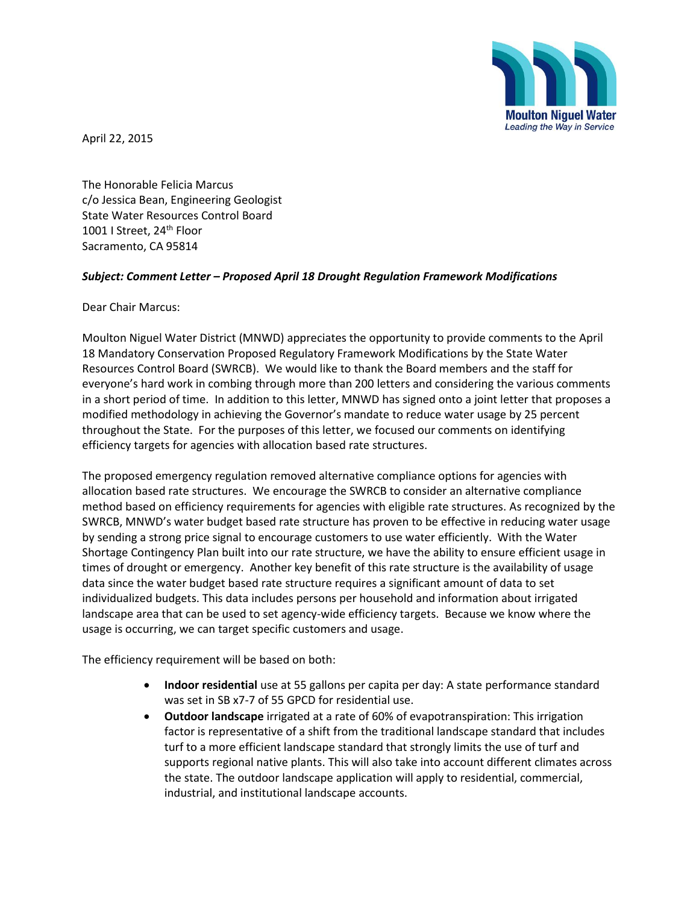

April 22, 2015

The Honorable Felicia Marcus c/o Jessica Bean, Engineering Geologist State Water Resources Control Board 1001 I Street, 24<sup>th</sup> Floor Sacramento, CA 95814

## *Subject: Comment Letter – Proposed April 18 Drought Regulation Framework Modifications*

Dear Chair Marcus:

Moulton Niguel Water District (MNWD) appreciates the opportunity to provide comments to the April 18 Mandatory Conservation Proposed Regulatory Framework Modifications by the State Water Resources Control Board (SWRCB). We would like to thank the Board members and the staff for everyone's hard work in combing through more than 200 letters and considering the various comments in a short period of time. In addition to this letter, MNWD has signed onto a joint letter that proposes a modified methodology in achieving the Governor's mandate to reduce water usage by 25 percent throughout the State. For the purposes of this letter, we focused our comments on identifying efficiency targets for agencies with allocation based rate structures.

The proposed emergency regulation removed alternative compliance options for agencies with allocation based rate structures. We encourage the SWRCB to consider an alternative compliance method based on efficiency requirements for agencies with eligible rate structures. As recognized by the SWRCB, MNWD's water budget based rate structure has proven to be effective in reducing water usage by sending a strong price signal to encourage customers to use water efficiently. With the Water Shortage Contingency Plan built into our rate structure, we have the ability to ensure efficient usage in times of drought or emergency. Another key benefit of this rate structure is the availability of usage data since the water budget based rate structure requires a significant amount of data to set individualized budgets. This data includes persons per household and information about irrigated landscape area that can be used to set agency-wide efficiency targets. Because we know where the usage is occurring, we can target specific customers and usage.

The efficiency requirement will be based on both:

- **Indoor residential** use at 55 gallons per capita per day: A state performance standard was set in SB x7-7 of 55 GPCD for residential use.
- **Outdoor landscape** irrigated at a rate of 60% of evapotranspiration: This irrigation factor is representative of a shift from the traditional landscape standard that includes turf to a more efficient landscape standard that strongly limits the use of turf and supports regional native plants. This will also take into account different climates across the state. The outdoor landscape application will apply to residential, commercial, industrial, and institutional landscape accounts.